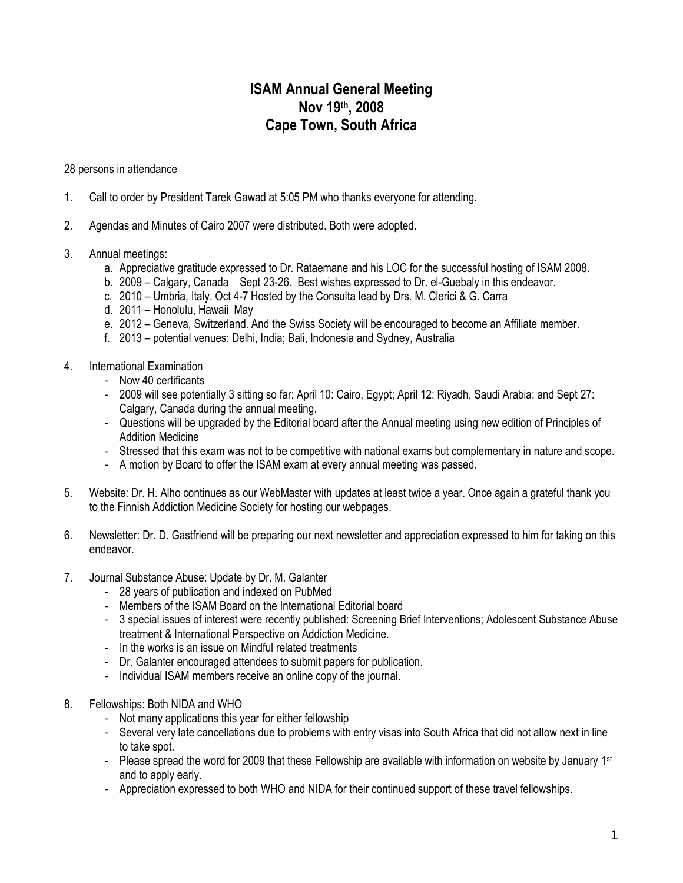## **ISAM Annual General Meeting Nov 19th, 2008 Cape Town, South Africa**

28 persons in attendance

- 1. Call to order by President Tarek Gawad at 5:05 PM who thanks everyone for attending.
- 2. Agendas and Minutes of Cairo 2007 were distributed. Both were adopted.
- 3. Annual meetings:
	- a. Appreciative gratitude expressed to Dr. Rataemane and his LOC for the successful hosting of ISAM 2008.
	- b. 2009 Calgary, Canada Sept 23-26. Best wishes expressed to Dr. el-Guebaly in this endeavor.
	- c. 2010 Umbria, Italy. Oct 4-7 Hosted by the Consulta lead by Drs. M. Clerici & G. Carra
	- d. 2011 Honolulu, Hawaii May
	- e. 2012 Geneva, Switzerland. And the Swiss Society will be encouraged to become an Affiliate member.
	- f. 2013 potential venues: Delhi, India; Bali, Indonesia and Sydney, Australia
- 4. International Examination
	- Now 40 certificants
	- 2009 will see potentially 3 sitting so far: April 10: Cairo, Egypt; April 12: Riyadh, Saudi Arabia; and Sept 27: Calgary, Canada during the annual meeting.
	- Questions will be upgraded by the Editorial board after the Annual meeting using new edition of Principles of Addition Medicine
	- Stressed that this exam was not to be competitive with national exams but complementary in nature and scope.
	- A motion by Board to offer the ISAM exam at every annual meeting was passed.
- 5. Website: Dr. H. Alho continues as our WebMaster with updates at least twice a year. Once again a grateful thank you to the Finnish Addiction Medicine Society for hosting our webpages.
- 6. Newsletter: Dr. D. Gastfriend will be preparing our next newsletter and appreciation expressed to him for taking on this endeavor.
- 7. Journal Substance Abuse: Update by Dr. M. Galanter
	- 28 years of publication and indexed on PubMed
	- Members of the ISAM Board on the International Editorial board
	- 3 special issues of interest were recently published: Screening Brief Interventions; Adolescent Substance Abuse treatment & International Perspective on Addiction Medicine.
	- In the works is an issue on Mindful related treatments
	- Dr. Galanter encouraged attendees to submit papers for publication.
	- Individual ISAM members receive an online copy of the journal.
- 8. Fellowships: Both NIDA and WHO
	- Not many applications this year for either fellowship
	- Several very late cancellations due to problems with entry visas into South Africa that did not allow next in line to take spot.
	- Please spread the word for 2009 that these Fellowship are available with information on website by January  $1st$ and to apply early.
	- Appreciation expressed to both WHO and NIDA for their continued support of these travel fellowships.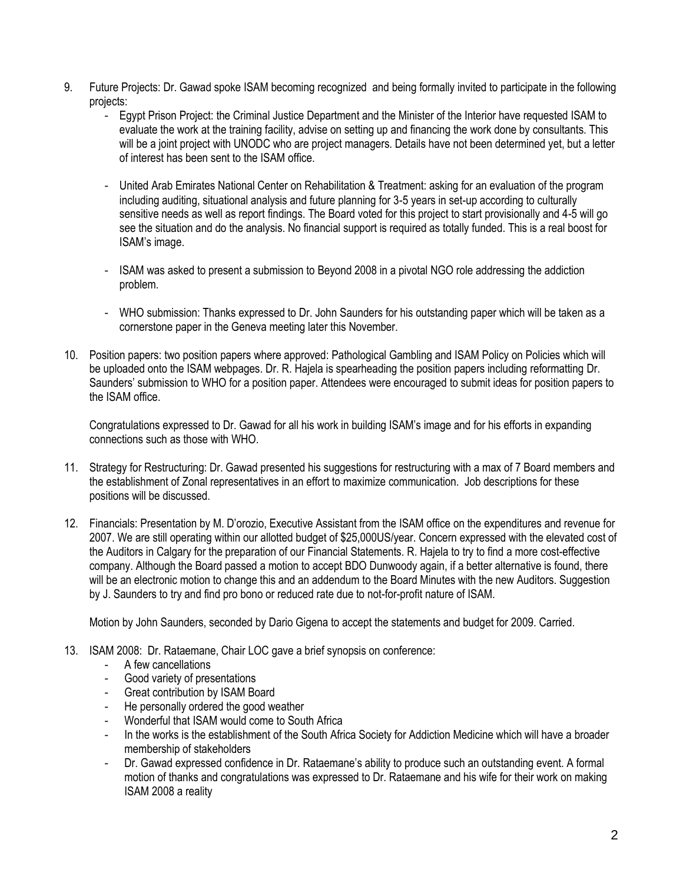- 9. Future Projects: Dr. Gawad spoke ISAM becoming recognized and being formally invited to participate in the following projects:
	- Egypt Prison Project: the Criminal Justice Department and the Minister of the Interior have requested ISAM to evaluate the work at the training facility, advise on setting up and financing the work done by consultants. This will be a joint project with UNODC who are project managers. Details have not been determined yet, but a letter of interest has been sent to the ISAM office.
	- United Arab Emirates National Center on Rehabilitation & Treatment: asking for an evaluation of the program including auditing, situational analysis and future planning for 3-5 years in set-up according to culturally sensitive needs as well as report findings. The Board voted for this project to start provisionally and 4-5 will go see the situation and do the analysis. No financial support is required as totally funded. This is a real boost for ISAM's image.
	- ISAM was asked to present a submission to Beyond 2008 in a pivotal NGO role addressing the addiction problem.
	- WHO submission: Thanks expressed to Dr. John Saunders for his outstanding paper which will be taken as a cornerstone paper in the Geneva meeting later this November.
- 10. Position papers: two position papers where approved: Pathological Gambling and ISAM Policy on Policies which will be uploaded onto the ISAM webpages. Dr. R. Hajela is spearheading the position papers including reformatting Dr. Saunders' submission to WHO for a position paper. Attendees were encouraged to submit ideas for position papers to the ISAM office.

Congratulations expressed to Dr. Gawad for all his work in building ISAM's image and for his efforts in expanding connections such as those with WHO.

- 11. Strategy for Restructuring: Dr. Gawad presented his suggestions for restructuring with a max of 7 Board members and the establishment of Zonal representatives in an effort to maximize communication. Job descriptions for these positions will be discussed.
- 12. Financials: Presentation by M. D'orozio, Executive Assistant from the ISAM office on the expenditures and revenue for 2007. We are still operating within our allotted budget of \$25,000US/year. Concern expressed with the elevated cost of the Auditors in Calgary for the preparation of our Financial Statements. R. Hajela to try to find a more cost-effective company. Although the Board passed a motion to accept BDO Dunwoody again, if a better alternative is found, there will be an electronic motion to change this and an addendum to the Board Minutes with the new Auditors. Suggestion by J. Saunders to try and find pro bono or reduced rate due to not-for-profit nature of ISAM.

Motion by John Saunders, seconded by Dario Gigena to accept the statements and budget for 2009. Carried.

- 13. ISAM 2008: Dr. Rataemane, Chair LOC gave a brief synopsis on conference:
	- A few cancellations
	- Good variety of presentations
	- Great contribution by ISAM Board
	- He personally ordered the good weather
	- Wonderful that ISAM would come to South Africa
	- In the works is the establishment of the South Africa Society for Addiction Medicine which will have a broader membership of stakeholders
	- Dr. Gawad expressed confidence in Dr. Rataemane's ability to produce such an outstanding event. A formal motion of thanks and congratulations was expressed to Dr. Rataemane and his wife for their work on making ISAM 2008 a reality